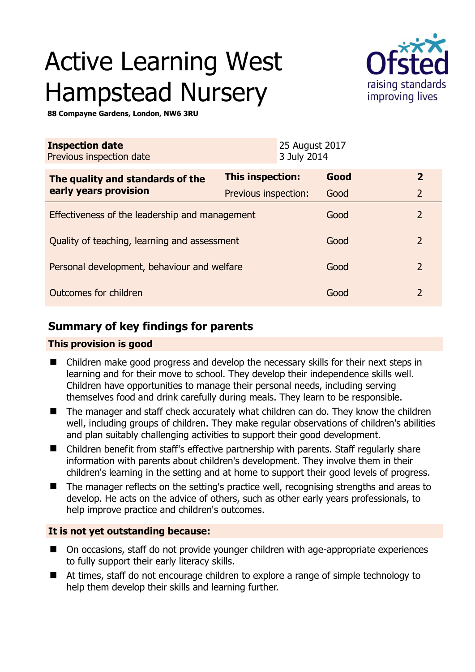# Active Learning West Hampstead Nursery



**88 Compayne Gardens, London, NW6 3RU** 

| <b>Inspection date</b><br>Previous inspection date        |                      | 25 August 2017<br>3 July 2014 |      |                |
|-----------------------------------------------------------|----------------------|-------------------------------|------|----------------|
| The quality and standards of the<br>early years provision | This inspection:     |                               | Good | $\overline{2}$ |
|                                                           | Previous inspection: |                               | Good | $\overline{2}$ |
| Effectiveness of the leadership and management            |                      |                               | Good | $\overline{2}$ |
| Quality of teaching, learning and assessment              |                      |                               | Good | $\overline{2}$ |
| Personal development, behaviour and welfare               |                      |                               | Good | $\overline{2}$ |
| Outcomes for children                                     |                      |                               | Good | $\mathcal{P}$  |

# **Summary of key findings for parents**

## **This provision is good**

- Children make good progress and develop the necessary skills for their next steps in learning and for their move to school. They develop their independence skills well. Children have opportunities to manage their personal needs, including serving themselves food and drink carefully during meals. They learn to be responsible.
- The manager and staff check accurately what children can do. They know the children well, including groups of children. They make regular observations of children's abilities and plan suitably challenging activities to support their good development.
- Children benefit from staff's effective partnership with parents. Staff regularly share information with parents about children's development. They involve them in their children's learning in the setting and at home to support their good levels of progress.
- The manager reflects on the setting's practice well, recognising strengths and areas to develop. He acts on the advice of others, such as other early years professionals, to help improve practice and children's outcomes.

## **It is not yet outstanding because:**

- On occasions, staff do not provide younger children with age-appropriate experiences to fully support their early literacy skills.
- At times, staff do not encourage children to explore a range of simple technology to help them develop their skills and learning further.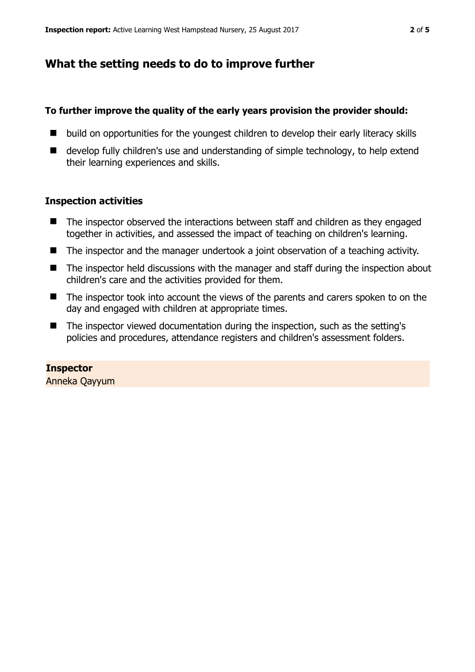## **What the setting needs to do to improve further**

#### **To further improve the quality of the early years provision the provider should:**

- $\blacksquare$  build on opportunities for the youngest children to develop their early literacy skills
- develop fully children's use and understanding of simple technology, to help extend their learning experiences and skills.

#### **Inspection activities**

- The inspector observed the interactions between staff and children as they engaged together in activities, and assessed the impact of teaching on children's learning.
- The inspector and the manager undertook a joint observation of a teaching activity.
- The inspector held discussions with the manager and staff during the inspection about children's care and the activities provided for them.
- The inspector took into account the views of the parents and carers spoken to on the day and engaged with children at appropriate times.
- $\blacksquare$  The inspector viewed documentation during the inspection, such as the setting's policies and procedures, attendance registers and children's assessment folders.

#### **Inspector**

Anneka Qayyum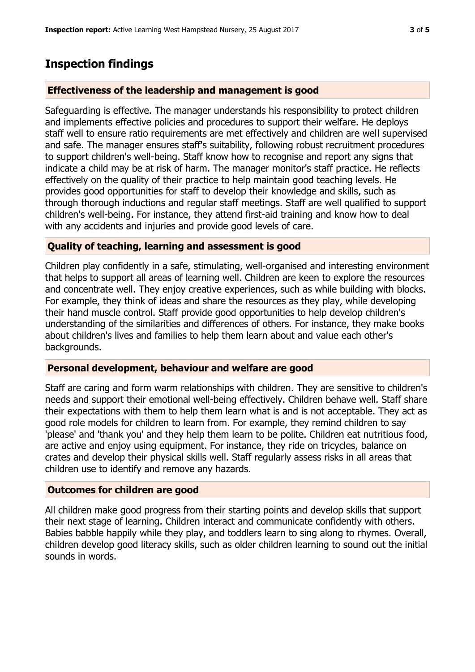## **Inspection findings**

#### **Effectiveness of the leadership and management is good**

Safeguarding is effective. The manager understands his responsibility to protect children and implements effective policies and procedures to support their welfare. He deploys staff well to ensure ratio requirements are met effectively and children are well supervised and safe. The manager ensures staff's suitability, following robust recruitment procedures to support children's well-being. Staff know how to recognise and report any signs that indicate a child may be at risk of harm. The manager monitor's staff practice. He reflects effectively on the quality of their practice to help maintain good teaching levels. He provides good opportunities for staff to develop their knowledge and skills, such as through thorough inductions and regular staff meetings. Staff are well qualified to support children's well-being. For instance, they attend first-aid training and know how to deal with any accidents and injuries and provide good levels of care.

#### **Quality of teaching, learning and assessment is good**

Children play confidently in a safe, stimulating, well-organised and interesting environment that helps to support all areas of learning well. Children are keen to explore the resources and concentrate well. They enjoy creative experiences, such as while building with blocks. For example, they think of ideas and share the resources as they play, while developing their hand muscle control. Staff provide good opportunities to help develop children's understanding of the similarities and differences of others. For instance, they make books about children's lives and families to help them learn about and value each other's backgrounds.

#### **Personal development, behaviour and welfare are good**

Staff are caring and form warm relationships with children. They are sensitive to children's needs and support their emotional well-being effectively. Children behave well. Staff share their expectations with them to help them learn what is and is not acceptable. They act as good role models for children to learn from. For example, they remind children to say 'please' and 'thank you' and they help them learn to be polite. Children eat nutritious food, are active and enjoy using equipment. For instance, they ride on tricycles, balance on crates and develop their physical skills well. Staff regularly assess risks in all areas that children use to identify and remove any hazards.

#### **Outcomes for children are good**

All children make good progress from their starting points and develop skills that support their next stage of learning. Children interact and communicate confidently with others. Babies babble happily while they play, and toddlers learn to sing along to rhymes. Overall, children develop good literacy skills, such as older children learning to sound out the initial sounds in words.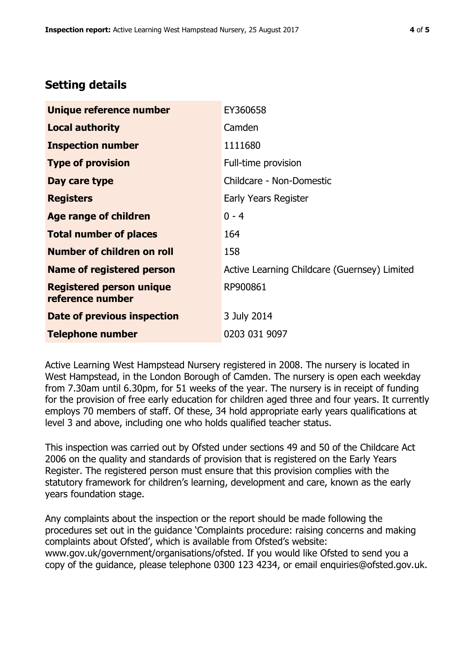## **Setting details**

| Unique reference number                             | EY360658                                     |  |
|-----------------------------------------------------|----------------------------------------------|--|
| <b>Local authority</b>                              | Camden                                       |  |
| <b>Inspection number</b>                            | 1111680                                      |  |
| <b>Type of provision</b>                            | Full-time provision                          |  |
| Day care type                                       | Childcare - Non-Domestic                     |  |
| <b>Registers</b>                                    | Early Years Register                         |  |
| Age range of children                               | $0 - 4$                                      |  |
| <b>Total number of places</b>                       | 164                                          |  |
| Number of children on roll                          | 158                                          |  |
| <b>Name of registered person</b>                    | Active Learning Childcare (Guernsey) Limited |  |
| <b>Registered person unique</b><br>reference number | RP900861                                     |  |
| Date of previous inspection                         | 3 July 2014                                  |  |
| <b>Telephone number</b>                             | 0203 031 9097                                |  |

Active Learning West Hampstead Nursery registered in 2008. The nursery is located in West Hampstead, in the London Borough of Camden. The nursery is open each weekday from 7.30am until 6.30pm, for 51 weeks of the year. The nursery is in receipt of funding for the provision of free early education for children aged three and four years. It currently employs 70 members of staff. Of these, 34 hold appropriate early years qualifications at level 3 and above, including one who holds qualified teacher status.

This inspection was carried out by Ofsted under sections 49 and 50 of the Childcare Act 2006 on the quality and standards of provision that is registered on the Early Years Register. The registered person must ensure that this provision complies with the statutory framework for children's learning, development and care, known as the early years foundation stage.

Any complaints about the inspection or the report should be made following the procedures set out in the guidance 'Complaints procedure: raising concerns and making complaints about Ofsted', which is available from Ofsted's website: www.gov.uk/government/organisations/ofsted. If you would like Ofsted to send you a copy of the guidance, please telephone 0300 123 4234, or email enquiries@ofsted.gov.uk.